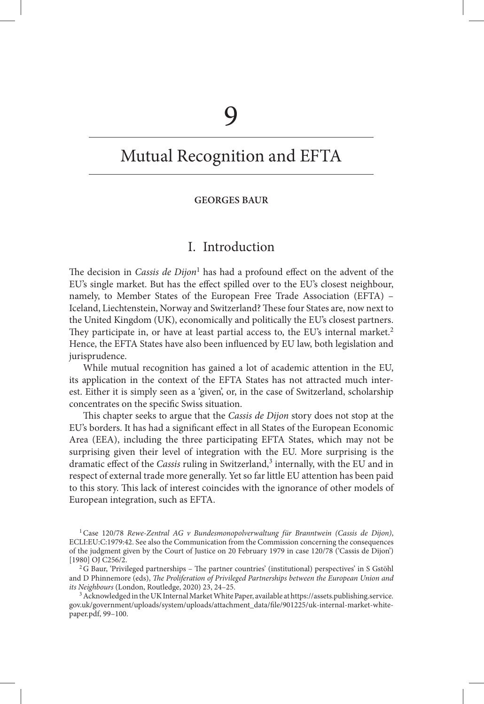# Mutual Recognition and EFTA

#### **GEORGES BAUR**

## I. Introduction

The decision in *Cassis de Dijon*<sup>1</sup> has had a profound effect on the advent of the EU's single market. But has the effect spilled over to the EU's closest neighbour, namely, to Member States of the European Free Trade Association (EFTA) – Iceland, Liechtenstein, Norway and Switzerland? These four States are, now next to the United Kingdom (UK), economically and politically the EU's closest partners. They participate in, or have at least partial access to, the EU's internal market.<sup>2</sup> Hence, the EFTA States have also been influenced by EU law, both legislation and jurisprudence.

 While mutual recognition has gained a lot of academic attention in the EU, its application in the context of the EFTA States has not attracted much interest. Either it is simply seen as a 'given', or, in the case of Switzerland, scholarship concentrates on the specific Swiss situation.

This chapter seeks to argue that the *Cassis de Dijon* story does not stop at the EU's borders. It has had a significant effect in all States of the European Economic Area (EEA), including the three participating EFTA States, which may not be surprising given their level of integration with the EU. More surprising is the dramatic effect of the *Cassis* ruling in Switzerland,<sup>3</sup> internally, with the EU and in respect of external trade more generally. Yet so far little EU attention has been paid to this story. This lack of interest coincides with the ignorance of other models of European integration, such as EFTA.

<sup>1</sup> Case 120/78 *Rewe-Zentral AG v Bundesmonopolverwaltung für Branntwein (Cassis de Dijon)*, ECLI:EU:C:1979:42 . See also the Communication from the Commission concerning the consequences of the judgment given by the Court of Justice on 20 February 1979 in case 120/78 ('Cassis de Dijon') [1980] OJ C256/2.

 ${}^{2}G$  Baur, 'Privileged partnerships – The partner countries' (institutional) perspectives' in S Gstöhl and D Phinnemore (eds), *The Proliferation of Privileged Partnerships between the European Union and its Neighbours* (London, Routledge, 2020) 23, 24-25.

 3 Acknowledged in the UK Internal Market White Paper, available at https://assets.publishing.service. gov.uk/government/uploads/system/uploads/attachment\_data/fi le/901225/uk-internal-market-whitepaper.pdf, 99-100.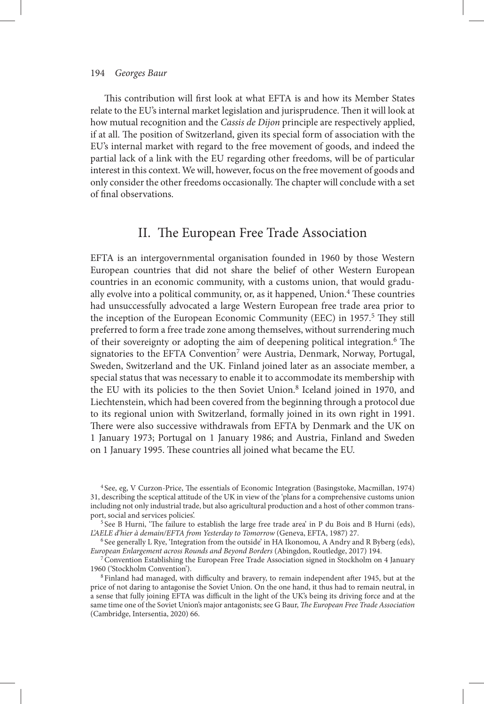This contribution will first look at what EFTA is and how its Member States relate to the EU's internal market legislation and jurisprudence. Then it will look at how mutual recognition and the *Cassis de Dijon* principle are respectively applied, if at all. The position of Switzerland, given its special form of association with the EU's internal market with regard to the free movement of goods, and indeed the partial lack of a link with the EU regarding other freedoms, will be of particular interest in this context. We will, however, focus on the free movement of goods and only consider the other freedoms occasionally. The chapter will conclude with a set of final observations.

## II. The European Free Trade Association

 EFTA is an intergovernmental organisation founded in 1960 by those Western European countries that did not share the belief of other Western European countries in an economic community, with a customs union, that would gradually evolve into a political community, or, as it happened, Union.<sup>4</sup> These countries had unsuccessfully advocated a large Western European free trade area prior to the inception of the European Economic Community (EEC) in 1957.<sup>5</sup> They still preferred to form a free trade zone among themselves, without surrendering much of their sovereignty or adopting the aim of deepening political integration.<sup>6</sup> The signatories to the EFTA Convention<sup>7</sup> were Austria, Denmark, Norway, Portugal, Sweden, Switzerland and the UK. Finland joined later as an associate member, a special status that was necessary to enable it to accommodate its membership with the EU with its policies to the then Soviet Union.<sup>8</sup> Iceland joined in 1970, and Liechtenstein, which had been covered from the beginning through a protocol due to its regional union with Switzerland, formally joined in its own right in 1991. There were also successive withdrawals from EFTA by Denmark and the UK on 1 January 1973; Portugal on 1 January 1986; and Austria, Finland and Sweden on 1 January 1995. These countries all joined what became the EU.

<sup>&</sup>lt;sup>4</sup> See, eg, V Curzon-Price, The essentials of Economic Integration (Basingstoke, Macmillan, 1974) 31, describing the sceptical attitude of the UK in view of the ' plans for a comprehensive customs union including not only industrial trade, but also agricultural production and a host of other common transport, social and services policies'.

 $5$  See B Hurni, 'The failure to establish the large free trade area' in P du Bois and B Hurni (eds), *L'AELE d'hier à demain/EFTA from Yesterday to Tomorrow* (Geneva, EFTA, 1987) 27.

<sup>&</sup>lt;sup>6</sup> See generally L Rye, 'Integration from the outside' in HA Ikonomou, A Andry and R Byberg (eds), *European Enlargement across Rounds and Beyond Borders* (Abingdon, Routledge, 2017) 194.

7 Convention Establishing the European Free Trade Association signed in Stockholm on 4 January 1960 ('Stockholm Convention').

<sup>&</sup>lt;sup>8</sup> Finland had managed, with difficulty and bravery, to remain independent after 1945, but at the price of not daring to antagonise the Soviet Union. On the one hand, it thus had to remain neutral, in a sense that fully joining EFTA was difficult in the light of the UK's being its driving force and at the same time one of the Soviet Union's major antagonists; see G Baur, *The European Free Trade Association* (Cambridge, Intersentia, 2020) 66.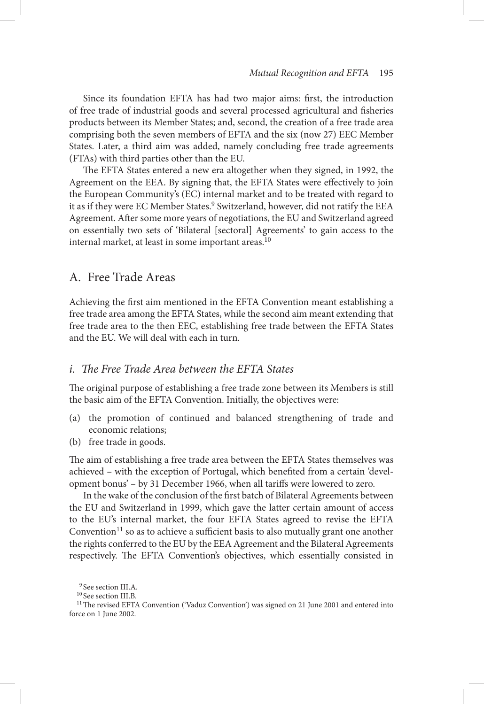Since its foundation EFTA has had two major aims: first, the introduction of free trade of industrial goods and several processed agricultural and fisheries products between its Member States; and, second, the creation of a free trade area comprising both the seven members of EFTA and the six (now 27) EEC Member States. Later, a third aim was added, namely concluding free trade agreements (FTAs) with third parties other than the EU.

The EFTA States entered a new era altogether when they signed, in 1992, the Agreement on the EEA. By signing that, the EFTA States were effectively to join the European Community's (EC) internal market and to be treated with regard to it as if they were EC Member States.<sup>9</sup> Switzerland, however, did not ratify the EEA Agreement. After some more years of negotiations, the EU and Switzerland agreed on essentially two sets of 'Bilateral [sectoral] Agreements' to gain access to the internal market, at least in some important areas.<sup>10</sup>

## A. Free Trade Areas

Achieving the first aim mentioned in the EFTA Convention meant establishing a free trade area among the EFTA States, while the second aim meant extending that free trade area to the then EEC, establishing free trade between the EFTA States and the EU. We will deal with each in turn.

### *i. The Free Trade Area between the EFTA States*

The original purpose of establishing a free trade zone between its Members is still the basic aim of the EFTA Convention. Initially, the objectives were:

- (a) the promotion of continued and balanced strengthening of trade and economic relations;
- (b) free trade in goods.

The aim of establishing a free trade area between the EFTA States themselves was achieved - with the exception of Portugal, which benefited from a certain 'development bonus' – by 31 December 1966, when all tariffs were lowered to zero.

In the wake of the conclusion of the first batch of Bilateral Agreements between the EU and Switzerland in 1999, which gave the latter certain amount of access to the EU's internal market, the four EFTA States agreed to revise the EFTA Convention $11$  so as to achieve a sufficient basis to also mutually grant one another the rights conferred to the EU by the EEA Agreement and the Bilateral Agreements respectively. The EFTA Convention's objectives, which essentially consisted in

<sup>&</sup>lt;sup>9</sup> See section III.A.

 $^{10}\rm{See}$  section III.B.

<sup>&</sup>lt;sup>11</sup> The revised EFTA Convention ('Vaduz Convention') was signed on 21 June 2001 and entered into force on 1 June 2002.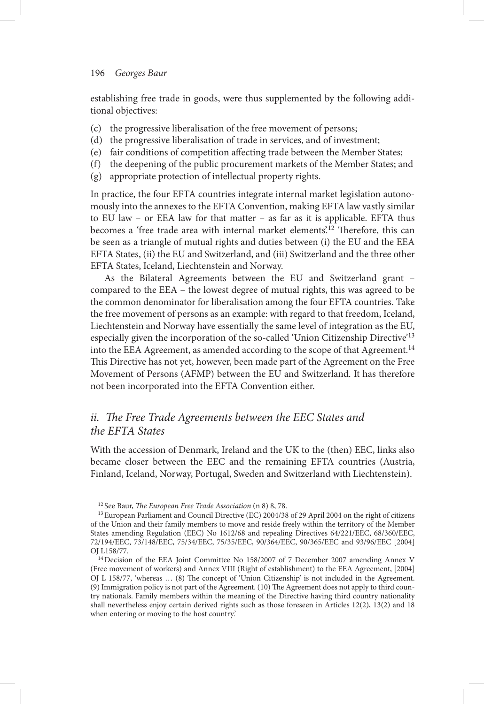#### 196 *Georges Baur*

establishing free trade in goods, were thus supplemented by the following additional objectives:

- (c) the progressive liberalisation of the free movement of persons;
- (d) the progressive liberalisation of trade in services, and of investment;
- (e) fair conditions of competition affecting trade between the Member States;
- (f) the deepening of the public procurement markets of the Member States; and
- (g) appropriate protection of intellectual property rights.

 In practice, the four EFTA countries integrate internal market legislation autonomously into the annexes to the EFTA Convention, making EFTA law vastly similar to EU law – or EEA law for that matter – as far as it is applicable. EFTA thus becomes a 'free trade area with internal market elements'.<sup>12</sup> Therefore, this can be seen as a triangle of mutual rights and duties between (i) the EU and the EEA EFTA States, (ii) the EU and Switzerland, and (iii) Switzerland and the three other EFTA States, Iceland, Liechtenstein and Norway.

 As the Bilateral Agreements between the EU and Switzerland grant – compared to the EEA – the lowest degree of mutual rights, this was agreed to be the common denominator for liberalisation among the four EFTA countries. Take the free movement of persons as an example: with regard to that freedom, Iceland, Liechtenstein and Norway have essentially the same level of integration as the EU, especially given the incorporation of the so-called 'Union Citizenship Directive'<sup>13</sup> into the EEA Agreement, as amended according to the scope of that Agreement.<sup>14</sup> This Directive has not yet, however, been made part of the Agreement on the Free Movement of Persons (AFMP) between the EU and Switzerland. It has therefore not been incorporated into the EFTA Convention either.

## *ii. The Free Trade Agreements between the EEC States and the EFTA States*

 With the accession of Denmark, Ireland and the UK to the (then) EEC, links also became closer between the EEC and the remaining EFTA countries (Austria, Finland, Iceland, Norway, Portugal, Sweden and Switzerland with Liechtenstein).

<sup>&</sup>lt;sup>12</sup> See Baur, *The European Free Trade Association* (n 8) 8, 78.

13 European Parliament and Council Directive (EC) 2004/38 of 29 April 2004 on the right of citizens of the Union and their family members to move and reside freely within the territory of the Member States amending Regulation (EEC) No 1612/68 and repealing Directives 64/221/EEC, 68/360/EEC, 72/194/EEC, 73/148/EEC, 75/34/EEC, 75/35/EEC, 90/364/EEC, 90/365/EEC and 93/96/EEC [2004] OJ L158/77.

<sup>&</sup>lt;sup>14</sup> Decision of the EEA Joint Committee No 158/2007 of 7 December 2007 amending Annex V (Free movement of workers) and Annex VIII (Right of establishment) to the EEA Agreement, [2004] OJ L 158/77, 'whereas ... (8) The concept of 'Union Citizenship' is not included in the Agreement. (9) Immigration policy is not part of the Agreement. (10) The Agreement does not apply to third country nationals. Family members within the meaning of the Directive having third country nationality shall nevertheless enjoy certain derived rights such as those foreseen in Articles 12(2), 13(2) and 18 when entering or moving to the host country.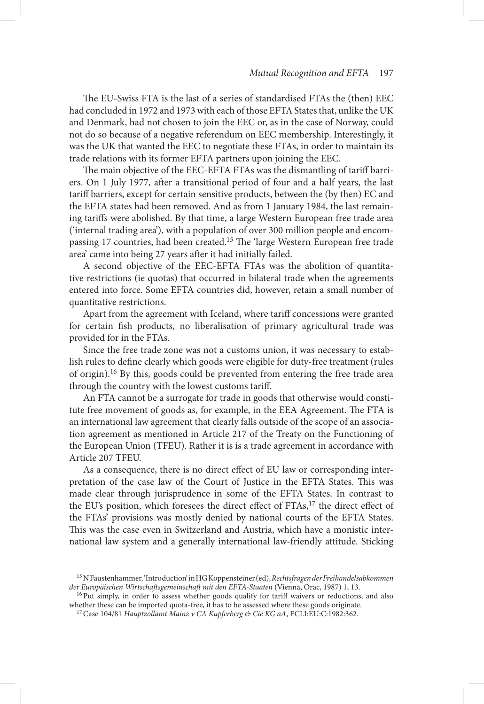The EU-Swiss FTA is the last of a series of standardised FTAs the (then) EEC had concluded in 1972 and 1973 with each of those EFTA States that, unlike the UK and Denmark, had not chosen to join the EEC or, as in the case of Norway, could not do so because of a negative referendum on EEC membership. Interestingly, it was the UK that wanted the EEC to negotiate these FTAs, in order to maintain its trade relations with its former EFTA partners upon joining the EEC.

The main objective of the EEC-EFTA FTAs was the dismantling of tariff barriers. On 1 July 1977, after a transitional period of four and a half years, the last tariff barriers, except for certain sensitive products, between the (by then) EC and the EFTA states had been removed. And as from 1 January 1984, the last remaining tariffs were abolished. By that time, a large Western European free trade area  $'$  internal trading area'), with a population of over 300 million people and encompassing 17 countries, had been created.<sup>15</sup> The 'large Western European free trade area' came into being 27 years after it had initially failed.

 A second objective of the EEC-EFTA FTAs was the abolition of quantitative restrictions (ie quotas) that occurred in bilateral trade when the agreements entered into force. Some EFTA countries did, however, retain a small number of quantitative restrictions.

 Apart from the agreement with Iceland, where tariff concessions were granted for certain fish products, no liberalisation of primary agricultural trade was provided for in the FTAs.

 Since the free trade zone was not a customs union, it was necessary to establish rules to define clearly which goods were eligible for duty-free treatment (rules of origin). 16 By this, goods could be prevented from entering the free trade area through the country with the lowest customs tariff.

 An FTA cannot be a surrogate for trade in goods that otherwise would constitute free movement of goods as, for example, in the EEA Agreement. The FTA is an international law agreement that clearly falls outside of the scope of an association agreement as mentioned in Article 217 of the Treaty on the Functioning of the European Union (TFEU). Rather it is is a trade agreement in accordance with Article 207 TFEU.

As a consequence, there is no direct effect of EU law or corresponding interpretation of the case law of the Court of Justice in the EFTA States. This was made clear through jurisprudence in some of the EFTA States. In contrast to the EU's position, which foresees the direct effect of FTAs,<sup>17</sup> the direct effect of the FTAs' provisions was mostly denied by national courts of the EFTA States. This was the case even in Switzerland and Austria, which have a monistic international law system and a generally international law-friendly attitude. Sticking

<sup>&</sup>lt;sup>15</sup> N Faustenhammer, 'Introduction' in HG Koppensteiner (ed), *Rechtsfragen der Freihandelsabkommen* der Europäischen Wirtschaftsgemeinschaft mit den EFTA-Staaten (Vienna, Orac, 1987) 1, 13.

<sup>&</sup>lt;sup>16</sup> Put simply, in order to assess whether goods qualify for tariff waivers or reductions, and also whether these can be imported quota-free, it has to be assessed where these goods originate.

<sup>&</sup>lt;sup>17</sup> Case 104/81 *Hauptzollamt Mainz v CA Kupferberg & Cie KG aA*, ECLI:EU:C:1982:362.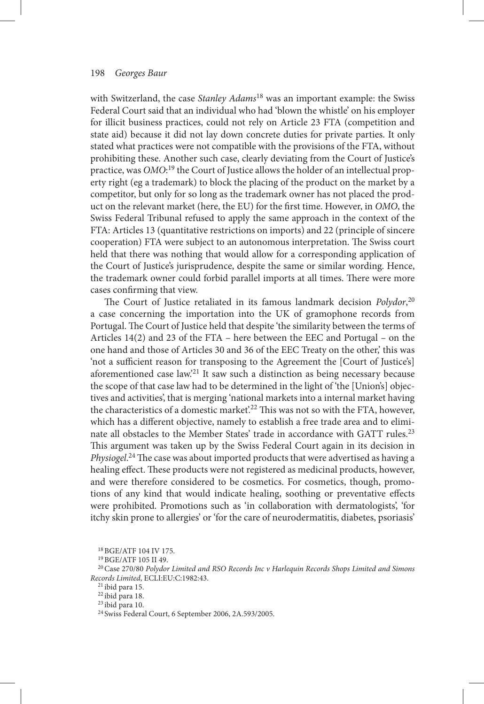with Switzerland, the case *Stanley Adams*18 was an important example: the Swiss Federal Court said that an individual who had 'blown the whistle' on his employer for illicit business practices, could not rely on Article 23 FTA (competition and state aid) because it did not lay down concrete duties for private parties. It only stated what practices were not compatible with the provisions of the FTA, without prohibiting these. Another such case, clearly deviating from the Court of Justice's practice, was *OMO*:<sup>19</sup> the Court of Justice allows the holder of an intellectual property right (eg a trademark) to block the placing of the product on the market by a competitor, but only for so long as the trademark owner has not placed the product on the relevant market (here, the EU) for the first time. However, in *OMO*, the Swiss Federal Tribunal refused to apply the same approach in the context of the FTA: Articles 13 (quantitative restrictions on imports) and 22 (principle of sincere cooperation) FTA were subject to an autonomous interpretation. The Swiss court held that there was nothing that would allow for a corresponding application of the Court of Justice's jurisprudence, despite the same or similar wording. Hence, the trademark owner could forbid parallel imports at all times. There were more cases confirming that view.

The Court of Justice retaliated in its famous landmark decision *Polydor*,<sup>20</sup> a case concerning the importation into the UK of gramophone records from Portugal. The Court of Justice held that despite 'the similarity between the terms of Articles 14(2) and 23 of the FTA – here between the EEC and Portugal – on the one hand and those of Articles 30 and 36 of the EEC Treaty on the other, ' this was ' not a sufficient reason for transposing to the Agreement the [Court of Justice's] aforementioned case law.<sup>21</sup> It saw such a distinction as being necessary because the scope of that case law had to be determined in the light of 'the [Union's] objectives and activities', that is merging 'national markets into a internal market having the characteristics of a domestic market.<sup>22</sup> This was not so with the FTA, however, which has a different objective, namely to establish a free trade area and to eliminate all obstacles to the Member States' trade in accordance with GATT rules.<sup>23</sup> This argument was taken up by the Swiss Federal Court again in its decision in Physiogel.<sup>24</sup> The case was about imported products that were advertised as having a healing effect. These products were not registered as medicinal products, however, and were therefore considered to be cosmetics. For cosmetics, though, promotions of any kind that would indicate healing, soothing or preventative effects were prohibited. Promotions such as 'in collaboration with dermatologists', 'for itchy skin prone to allergies' or ' for the care of neurodermatitis, diabetes, psoriasis'

18 BGE/ATF 104 IV 175.

19 BGE/ATF 105 II 49.

20 Case 270/80 *Polydor Limited and RSO Records Inc v Harlequin Records Shops Limited and Simons Records Limited* , ECLI:EU:C:1982:43 .

21 ibid para 15.

22 ibid para 18.

23 ibid para 10.

24 Swiss Federal Court, 6 September 2006, 2A.593/2005.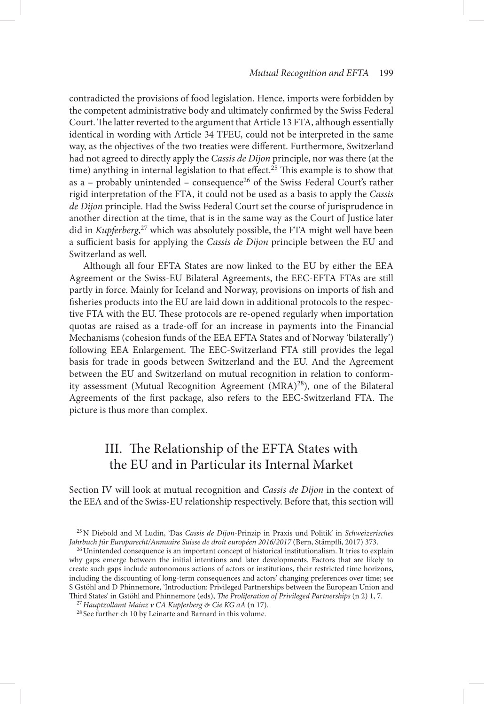contradicted the provisions of food legislation. Hence, imports were forbidden by the competent administrative body and ultimately confirmed by the Swiss Federal Court. The latter reverted to the argument that Article 13 FTA, although essentially identical in wording with Article 34 TFEU, could not be interpreted in the same way, as the objectives of the two treaties were different. Furthermore, Switzerland had not agreed to directly apply the *Cassis de Dijon* principle, nor was there (at the time) anything in internal legislation to that effect.<sup>25</sup> This example is to show that as a – probably unintended – consequence<sup>26</sup> of the Swiss Federal Court's rather rigid interpretation of the FTA, it could not be used as a basis to apply the *Cassis de Dijon* principle. Had the Swiss Federal Court set the course of jurisprudence in another direction at the time, that is in the same way as the Court of Justice later did in *Kupferberg*,<sup>27</sup> which was absolutely possible, the FTA might well have been a sufficient basis for applying the *Cassis de Dijon* principle between the EU and Switzerland as well.

 Although all four EFTA States are now linked to the EU by either the EEA Agreement or the Swiss-EU Bilateral Agreements, the EEC-EFTA FTAs are still partly in force. Mainly for Iceland and Norway, provisions on imports of fish and fisheries products into the EU are laid down in additional protocols to the respective FTA with the EU. These protocols are re-opened regularly when importation quotas are raised as a trade-off for an increase in payments into the Financial Mechanisms (cohesion funds of the EEA EFTA States and of Norway 'bilaterally') following EEA Enlargement. The EEC-Switzerland FTA still provides the legal basis for trade in goods between Switzerland and the EU. And the Agreement between the EU and Switzerland on mutual recognition in relation to conformity assessment (Mutual Recognition Agreement (MRA)<sup>28</sup>), one of the Bilateral Agreements of the first package, also refers to the EEC-Switzerland FTA. The picture is thus more than complex.

## III. The Relationship of the EFTA States with the EU and in Particular its Internal Market

 Section IV will look at mutual recognition and *Cassis de Dijon* in the context of the EEA and of the Swiss-EU relationship respectively. Before that, this section will

<sup>26</sup> Unintended consequence is an important concept of historical institutionalism. It tries to explain why gaps emerge between the initial intentions and later developments. Factors that are likely to create such gaps include autonomous actions of actors or institutions, their restricted time horizons, including the discounting of long-term consequences and actors ' changing preferences over time; see S Gstöhl and D Phinnemore, 'Introduction: Privileged Partnerships between the European Union and Third States' in Gstöhl and Phinnemore (eds), *The Proliferation of Privileged Partnerships* (n 2) 1, 7.

<sup>27</sup> Hauptzollamt Mainz v CA Kupferberg & Cie KG aA (n 17).

28 See further ch 10 by Leinarte and Barnard in this volume.

25 N Diebold and M Ludin , ' Das *Cassis de Dijon* -Prinzip in Praxis und Politik ' in *Schweizerisches Jahrbuch für Europarecht/Annuaire Suisse de droit européen 2016/2017* (Bern, Stämpfli, 2017) 373.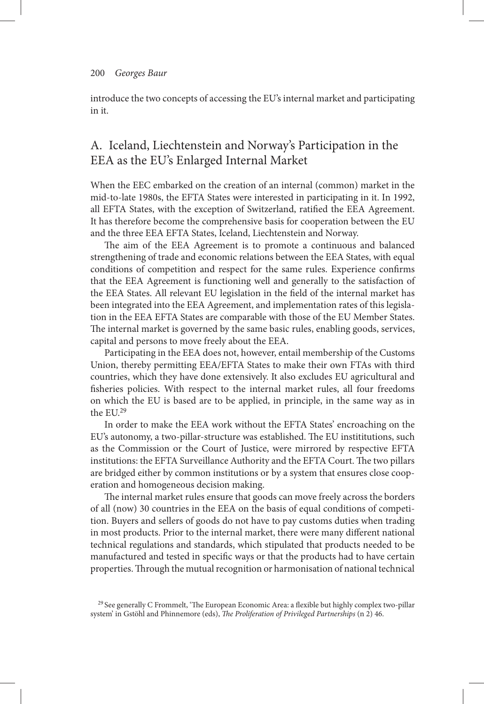introduce the two concepts of accessing the EU's internal market and participating in it.

## A. Iceland, Liechtenstein and Norway's Participation in the EEA as the EU's Enlarged Internal Market

 When the EEC embarked on the creation of an internal (common) market in the mid-to-late 1980s, the EFTA States were interested in participating in it. In 1992, all EFTA States, with the exception of Switzerland, ratified the EEA Agreement. It has therefore become the comprehensive basis for cooperation between the EU and the three EEA EFTA States, Iceland, Liechtenstein and Norway.

The aim of the EEA Agreement is to promote a continuous and balanced strengthening of trade and economic relations between the EEA States, with equal conditions of competition and respect for the same rules. Experience confirms that the EEA Agreement is functioning well and generally to the satisfaction of the EEA States. All relevant EU legislation in the field of the internal market has been integrated into the EEA Agreement, and implementation rates of this legislation in the EEA EFTA States are comparable with those of the EU Member States. The internal market is governed by the same basic rules, enabling goods, services, capital and persons to move freely about the EEA.

 Participating in the EEA does not, however, entail membership of the Customs Union, thereby permitting EEA/EFTA States to make their own FTAs with third countries, which they have done extensively. It also excludes EU agricultural and fisheries policies. With respect to the internal market rules, all four freedoms on which the EU is based are to be applied, in principle, in the same way as in the EU.<sup>29</sup>

In order to make the EEA work without the EFTA States' encroaching on the EU's autonomy, a two-pillar-structure was established. The EU instititutions, such as the Commission or the Court of Justice, were mirrored by respective EFTA institutions: the EFTA Surveillance Authority and the EFTA Court. The two pillars are bridged either by common institutions or by a system that ensures close cooperation and homogeneous decision making.

The internal market rules ensure that goods can move freely across the borders of all (now) 30 countries in the EEA on the basis of equal conditions of competition. Buyers and sellers of goods do not have to pay customs duties when trading in most products. Prior to the internal market, there were many different national technical regulations and standards, which stipulated that products needed to be manufactured and tested in specific ways or that the products had to have certain properties. Through the mutual recognition or harmonisation of national technical

<sup>&</sup>lt;sup>29</sup> See generally C Frommelt, 'The European Economic Area: a flexible but highly complex two-pillar system' in Gstöhl and Phinnemore (eds), *The Proliferation of Privileged Partnerships* (n 2) 46.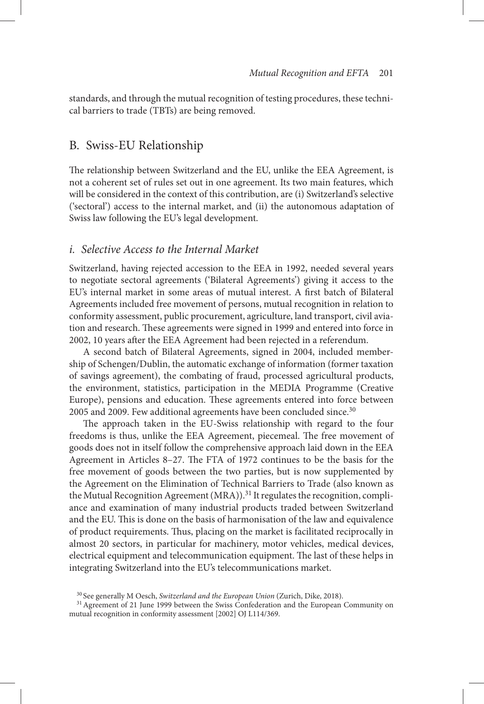standards, and through the mutual recognition of testing procedures, these technical barriers to trade (TBTs) are being removed.

## B. Swiss-EU Relationship

The relationship between Switzerland and the EU, unlike the EEA Agreement, is not a coherent set of rules set out in one agreement. Its two main features, which will be considered in the context of this contribution, are (i) Switzerland's selective ('sectoral') access to the internal market, and (ii) the autonomous adaptation of Swiss law following the EU's legal development.

### *i. Selective Access to the Internal Market*

 Switzerland, having rejected accession to the EEA in 1992, needed several years to negotiate sectoral agreements ('Bilateral Agreements') giving it access to the EU's internal market in some areas of mutual interest. A first batch of Bilateral Agreements included free movement of persons, mutual recognition in relation to conformity assessment, public procurement, agriculture, land transport, civil aviation and research. These agreements were signed in 1999 and entered into force in 2002, 10 years after the EEA Agreement had been rejected in a referendum.

 A second batch of Bilateral Agreements, signed in 2004, included membership of Schengen/Dublin, the automatic exchange of information (former taxation of savings agreement), the combating of fraud, processed agricultural products, the environment, statistics, participation in the MEDIA Programme (Creative Europe), pensions and education. These agreements entered into force between 2005 and 2009. Few additional agreements have been concluded since.<sup>30</sup>

The approach taken in the EU-Swiss relationship with regard to the four freedoms is thus, unlike the EEA Agreement, piecemeal. The free movement of goods does not in itself follow the comprehensive approach laid down in the EEA Agreement in Articles 8–27. The FTA of 1972 continues to be the basis for the free movement of goods between the two parties, but is now supplemented by the Agreement on the Elimination of Technical Barriers to Trade (also known as the Mutual Recognition Agreement (MRA)).<sup>31</sup> It regulates the recognition, compliance and examination of many industrial products traded between Switzerland and the EU. This is done on the basis of harmonisation of the law and equivalence of product requirements. Thus, placing on the market is facilitated reciprocally in almost 20 sectors, in particular for machinery, motor vehicles, medical devices, electrical equipment and telecommunication equipment. The last of these helps in integrating Switzerland into the EU's telecommunications market.

<sup>&</sup>lt;sup>30</sup> See generally M Oesch, *Switzerland and the European Union* (Zurich, Dike, 2018).

<sup>&</sup>lt;sup>31</sup> Agreement of 21 June 1999 between the Swiss Confederation and the European Community on mutual recognition in conformity assessment [2002] OJ L114/369.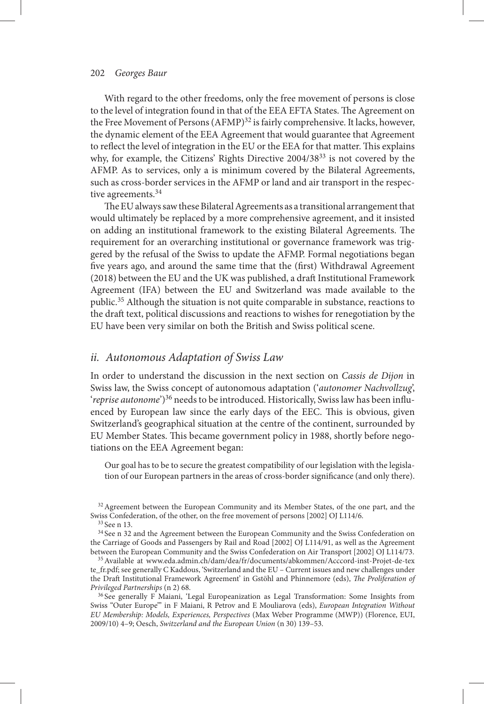#### 202 *Georges Baur*

 With regard to the other freedoms, only the free movement of persons is close to the level of integration found in that of the EEA EFTA States. The Agreement on the Free Movement of Persons (AFMP)<sup>32</sup> is fairly comprehensive. It lacks, however, the dynamic element of the EEA Agreement that would guarantee that Agreement to reflect the level of integration in the EU or the EEA for that matter. This explains why, for example, the Citizens' Rights Directive  $2004/38^{33}$  is not covered by the AFMP. As to services, only a is minimum covered by the Bilateral Agreements, such as cross-border services in the AFMP or land and air transport in the respective agreements.<sup>34</sup>

The EU always saw these Bilateral Agreements as a transitional arrangement that would ultimately be replaced by a more comprehensive agreement, and it insisted on adding an institutional framework to the existing Bilateral Agreements. The requirement for an overarching institutional or governance framework was triggered by the refusal of the Swiss to update the AFMP. Formal negotiations began five years ago, and around the same time that the (first) Withdrawal Agreement (2018) between the EU and the UK was published, a draft Institutional Framework Agreement (IFA) between the EU and Switzerland was made available to the public. 35 Although the situation is not quite comparable in substance, reactions to the draft text, political discussions and reactions to wishes for renegotiation by the EU have been very similar on both the British and Swiss political scene.

#### *ii. Autonomous Adaptation of Swiss Law*

 In order to understand the discussion in the next section on *Cassis de Dijon* in Swiss law, the Swiss concept of autonomous adaptation ('*autonomer Nachvollzug*', ' *reprise autonome*')<sup>36</sup> needs to be introduced. Historically, Swiss law has been influenced by European law since the early days of the EEC. This is obvious, given Switzerland's geographical situation at the centre of the continent, surrounded by EU Member States. This became government policy in 1988, shortly before negotiations on the EEA Agreement began:

 Our goal has to be to secure the greatest compatibility of our legislation with the legislation of our European partners in the areas of cross-border significance (and only there).

<sup>32</sup> Agreement between the European Community and its Member States, of the one part, and the Swiss Confederation, of the other, on the free movement of persons [2002] OJ L114/6.

<sup>34</sup> See n 32 and the Agreement between the European Community and the Swiss Confederation on the Carriage of Goods and Passengers by Rail and Road [2002] OJ L114/91, as well as the Agreement between the European Community and the Swiss Confederation on Air Transport [2002] OJ L114/73.

 35 Available at www.eda.admin.ch/dam/dea/fr/documents/abkommen/Acccord-inst-Projet-de-tex te\_fr.pdf; see generally C Kaddous, 'Switzerland and the EU - Current issues and new challenges under the Draft Institutional Framework Agreement' in Gstöhl and Phinnemore (eds), *The Proliferation of Privileged Partnerships* (n 2) 68.

<sup>36</sup> See generally F Maiani, 'Legal Europeanization as Legal Transformation: Some Insights from Swiss "Outer Europe" in F Maiani, R Petrov and E Mouliarova (eds), *European Integration Without EU Membership: Models, Experiences, Perspectives* ( Max Weber Programme (MWP) ) ( Florence , EUI , 2009/10) 4-9; Oesch, *Switzerland and the European Union* (n 30) 139-53.

<sup>&</sup>lt;sup>33</sup> See n 13.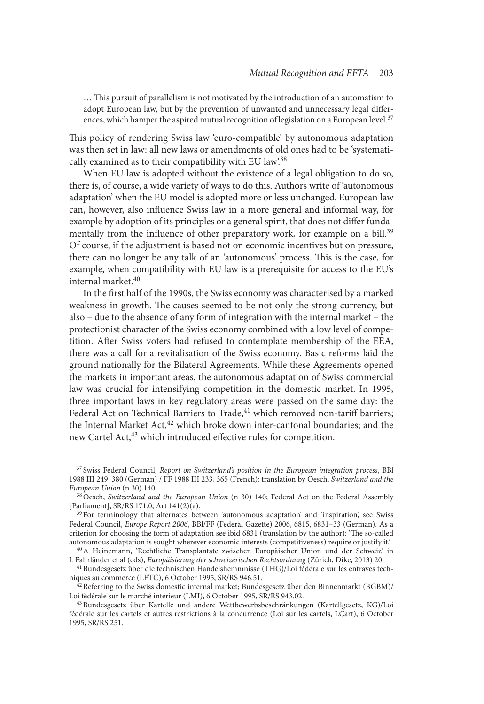... This pursuit of parallelism is not motivated by the introduction of an automatism to adopt European law, but by the prevention of unwanted and unnecessary legal differences, which hamper the aspired mutual recognition of legislation on a European level.<sup>37</sup>

This policy of rendering Swiss law 'euro-compatible' by autonomous adaptation was then set in law: all new laws or amendments of old ones had to be 'systematically examined as to their compatibility with EU law.<sup>38</sup>

 When EU law is adopted without the existence of a legal obligation to do so, there is, of course, a wide variety of ways to do this. Authors write of 'autonomous adaptation' when the EU model is adopted more or less unchanged. European law can, however, also influence Swiss law in a more general and informal way, for example by adoption of its principles or a general spirit, that does not differ fundamentally from the influence of other preparatory work, for example on a bill.<sup>39</sup> Of course, if the adjustment is based not on economic incentives but on pressure, there can no longer be any talk of an 'autonomous' process. This is the case, for example, when compatibility with EU law is a prerequisite for access to the EU's internal market. 40

In the first half of the 1990s, the Swiss economy was characterised by a marked weakness in growth. The causes seemed to be not only the strong currency, but also – due to the absence of any form of integration with the internal market – the protectionist character of the Swiss economy combined with a low level of competition. After Swiss voters had refused to contemplate membership of the EEA, there was a call for a revitalisation of the Swiss economy. Basic reforms laid the ground nationally for the Bilateral Agreements. While these Agreements opened the markets in important areas, the autonomous adaptation of Swiss commercial law was crucial for intensifying competition in the domestic market. In 1995, three important laws in key regulatory areas were passed on the same day: the Federal Act on Technical Barriers to Trade,<sup>41</sup> which removed non-tariff barriers; the Internal Market Act,<sup>42</sup> which broke down inter-cantonal boundaries; and the new Cartel Act,<sup>43</sup> which introduced effective rules for competition.

<sup>37</sup> Swiss Federal Council, *Report on Switzerland's position in the European integration process*, BBl 1988 III 249, 380 (German) / FF 1988 III 233, 365 (French); translation by Oesch, *Switzerland and the European Union* (n 30) 140.

 38 Oesch, *Switzerland and the European Union* (n 30) 140; Federal Act on the Federal Assembly [Parliament], SR/RS 171.0, Art 141(2)(a).

 $39$  For terminology that alternates between 'autonomous adaptation' and 'inspiration', see Swiss Federal Council, *Europe Report 2006* , BBl/FF (Federal Gazette) 2006, 6815, 6831 – 33 (German). As a criterion for choosing the form of adaptation see ibid 6831 (translation by the author): 'The so-called autonomous adaptation is sought wherever economic interests (competitiveness) require or justify it. '

<sup>40</sup> A Heinemann, 'Rechtliche Transplantate zwischen Europäischer Union und der Schweiz' in L Fahrländer et al (eds), *Europäisierung der schweizerischen Rechtsordnung* (Zürich, Dike, 2013) 20.

<sup>41</sup> Bundesgesetz über die technischen Handelshemmnisse (THG)/Loi fédérale sur les entraves techniques au commerce (LETC), 6 October 1995, SR/RS 946.51.

 $^{42}$  Referring to the Swiss domestic internal market; Bundesgesetz über den Binnenmarkt (BGBM)/ Loi fédérale sur le marché intérieur (LMI), 6 October 1995, SR/RS 943.02.

<sup>43</sup> Bundesgesetz über Kartelle und andere Wettbewerbsbeschränkungen (Kartellgesetz, KG)/Loi fédérale sur les cartels et autres restrictions à la concurrence (Loi sur les cartels, LCart), 6 October 1995, SR/RS 251.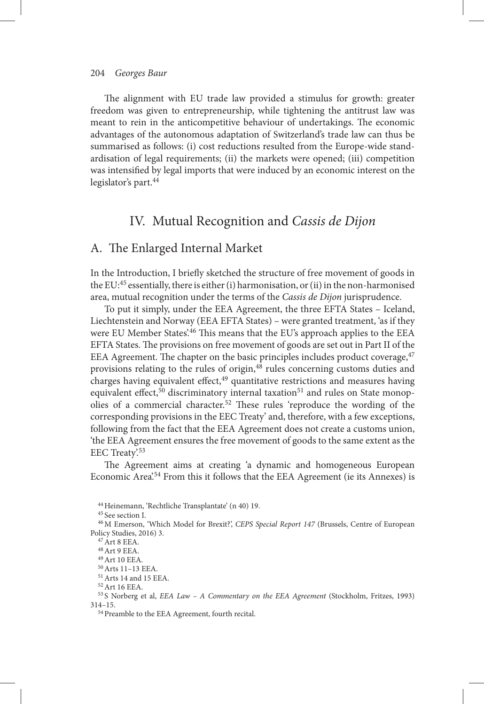The alignment with EU trade law provided a stimulus for growth: greater freedom was given to entrepreneurship, while tightening the antitrust law was meant to rein in the anticompetitive behaviour of undertakings. The economic advantages of the autonomous adaptation of Switzerland's trade law can thus be summarised as follows: (i) cost reductions resulted from the Europe-wide standardisation of legal requirements; (ii) the markets were opened; (iii) competition was intensified by legal imports that were induced by an economic interest on the legislator's part.<sup>44</sup>

## IV. Mutual Recognition and *Cassis de Dijon*

## A. The Enlarged Internal Market

In the Introduction, I briefly sketched the structure of free movement of goods in the EU: 45 essentially, there is either (i) harmonisation, or (ii) in the non-harmonised area, mutual recognition under the terms of the *Cassis de Dijon* jurisprudence.

 To put it simply, under the EEA Agreement, the three EFTA States – Iceland, Liechtenstein and Norway (EEA EFTA States) - were granted treatment, 'as if they were EU Member States.<sup>46</sup> This means that the EU's approach applies to the EEA EFTA States. The provisions on free movement of goods are set out in Part II of the EEA Agreement. The chapter on the basic principles includes product coverage, $47$ provisions relating to the rules of origin, 48 rules concerning customs duties and charges having equivalent effect, $49$  quantitative restrictions and measures having equivalent effect,  $50$  discriminatory internal taxation<sup>51</sup> and rules on State monopolies of a commercial character.<sup>52</sup> These rules 'reproduce the wording of the corresponding provisions in the EEC Treaty ' and, therefore, with a few exceptions, following from the fact that the EEA Agreement does not create a customs union, ' the EEA Agreement ensures the free movement of goods to the same extent as the EEC Treaty'.<sup>53</sup>

The Agreement aims at creating 'a dynamic and homogeneous European Economic Area<sup>'.54</sup> From this it follows that the EEA Agreement (ie its Annexes) is

<sup>44</sup> Heinemann, 'Rechtliche Transplantate' (n 40) 19.

 $^{45}$  See section I.

 $47$  Art 8 EEA.

48 Art 9 EEA.

 49 Art 10 EEA. 50 Arts 11 – 13 EEA.

51 Arts 14 and 15 EEA.

52 Art 16 EEA.

<sup>53</sup> S Norberg et al, *EEA Law - A Commentary on the EEA Agreement* (Stockholm, Fritzes, 1993) 314 – 15.

54 Preamble to the EEA Agreement, fourth recital.

<sup>&</sup>lt;sup>46</sup> M Emerson, 'Which Model for Brexit?', *CEPS Special Report 147* (Brussels, Centre of European Policy Studies, 2016) 3.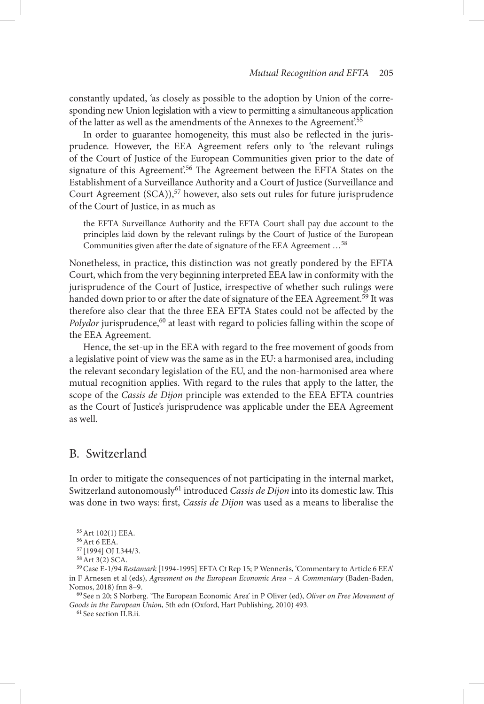constantly updated, 'as closely as possible to the adoption by Union of the corresponding new Union legislation with a view to permitting a simultaneous application of the latter as well as the amendments of the Annexes to the Agreement.<sup>55</sup>

In order to guarantee homogeneity, this must also be reflected in the jurisprudence. However, the EEA Agreement refers only to 'the relevant rulings of the Court of Justice of the European Communities given prior to the date of signature of this Agreement'.<sup>56</sup> The Agreement between the EFTA States on the Establishment of a Surveillance Authority and a Court of Justice (Surveillance and Court Agreement (SCA)),<sup>57</sup> however, also sets out rules for future jurisprudence of the Court of Justice, in as much as

 the EFTA Surveillance Authority and the EFTA Court shall pay due account to the principles laid down by the relevant rulings by the Court of Justice of the European Communities given after the date of signature of the EEA Agreement ...<sup>58</sup>

 Nonetheless, in practice, this distinction was not greatly pondered by the EFTA Court, which from the very beginning interpreted EEA law in conformity with the jurisprudence of the Court of Justice, irrespective of whether such rulings were handed down prior to or after the date of signature of the EEA Agreement.<sup>59</sup> It was therefore also clear that the three EEA EFTA States could not be affected by the Polydor jurisprudence,<sup>60</sup> at least with regard to policies falling within the scope of the EEA Agreement.

 Hence, the set-up in the EEA with regard to the free movement of goods from a legislative point of view was the same as in the EU: a harmonised area, including the relevant secondary legislation of the EU, and the non-harmonised area where mutual recognition applies. With regard to the rules that apply to the latter, the scope of the *Cassis de Dijon* principle was extended to the EEA EFTA countries as the Court of Justice's jurisprudence was applicable under the EEA Agreement as well.

### B. Switzerland

 In order to mitigate the consequences of not participating in the internal market, Switzerland autonomously<sup>61</sup> introduced *Cassis de Dijon* into its domestic law. This was done in two ways: first, *Cassis de Dijon* was used as a means to liberalise the

<sup>60</sup> See n 20; S Norberg. 'The European Economic Area' in P Oliver (ed), Oliver on Free Movement of Goods in the European Union, 5th edn (Oxford, Hart Publishing, 2010) 493.

 $^{61}$  See section II.B.ii.

55 Art 102(1) EEA.

56 Art 6 EEA.

57 [1994] OJ L344/3.

58 Art 3(2) SCA.

<sup>&</sup>lt;sup>59</sup> Case E-1/94 *Restamark* [1994-1995] EFTA Ct Rep 15; P Wennerås, 'Commentary to Article 6 EEA' in F Arnesen et al (eds), *Agreement on the European Economic Area - A Commentary* (Baden-Baden, Nomos, 2018) fnn 8-9.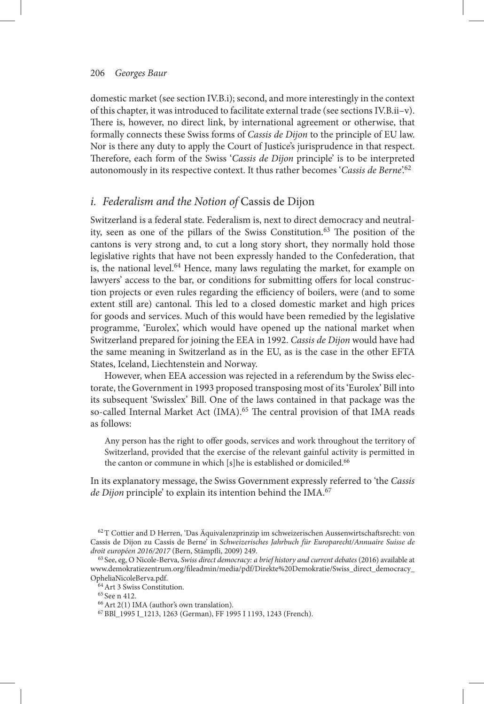domestic market (see section IV.B.i); second, and more interestingly in the context of this chapter, it was introduced to facilitate external trade (see sections IV.B.ii-v). There is, however, no direct link, by international agreement or otherwise, that formally connects these Swiss forms of *Cassis de Dijon* to the principle of EU law. Nor is there any duty to apply the Court of Justice's jurisprudence in that respect. Therefore, each form of the Swiss 'Cassis de Dijon principle' is to be interpreted autonomously in its respective context. It thus rather becomes '*Cassis de Berne*'.<sup>62</sup>

## *i. Federalism and the Notion of* Cassis de Dijon

 Switzerland is a federal state. Federalism is, next to direct democracy and neutrality, seen as one of the pillars of the Swiss Constitution.<sup>63</sup> The position of the cantons is very strong and, to cut a long story short, they normally hold those legislative rights that have not been expressly handed to the Confederation, that is, the national level.<sup>64</sup> Hence, many laws regulating the market, for example on lawyers' access to the bar, or conditions for submitting offers for local construction projects or even rules regarding the efficiency of boilers, were (and to some extent still are) cantonal. This led to a closed domestic market and high prices for goods and services. Much of this would have been remedied by the legislative programme, 'Eurolex', which would have opened up the national market when Switzerland prepared for joining the EEA in 1992. *Cassis de Dijon* would have had the same meaning in Switzerland as in the EU, as is the case in the other EFTA States, Iceland, Liechtenstein and Norway.

 However, when EEA accession was rejected in a referendum by the Swiss electorate, the Government in 1993 proposed transposing most of its 'Eurolex' Bill into its subsequent 'Swisslex' Bill. One of the laws contained in that package was the so-called Internal Market Act (IMA).<sup>65</sup> The central provision of that IMA reads as follows:

Any person has the right to offer goods, services and work throughout the territory of Switzerland, provided that the exercise of the relevant gainful activity is permitted in the canton or commune in which [s]he is established or domiciled. 66

 In its explanatory message, the Swiss Government expressly referred to ' the *Cassis de Dijon* principle' to explain its intention behind the IMA.<sup>67</sup>

<sup>&</sup>lt;sup>62</sup> T Cottier and D Herren, 'Das Äquivalenzprinzip im schweizerischen Aussenwirtschaftsrecht: von Cassis de Dijon zu Cassis de Berne<sup>2</sup> in *Schweizerisches Jahrbuch für Europarecht/Annuaire Suisse de* droit européen 2016/2017 (Bern, Stämpfli, 2009) 249.

63 See, eg, O Nicole-Berva , *Swiss direct democracy: a brief history and current debates* ( 2016 ) available at www.demokratiezentrum.org/fileadmin/media/pdf/Direkte%20Demokratie/Swiss\_direct\_democracy OpheliaNicoleBerva.pdf.

 $64$  Art 3 Swiss Constitution.

 $65$  See n 412.

 $66$  Art 2(1) IMA (author's own translation).

67 BBl\_1995 I\_1213, 1263 (German), FF 1995 I 1193, 1243 (French).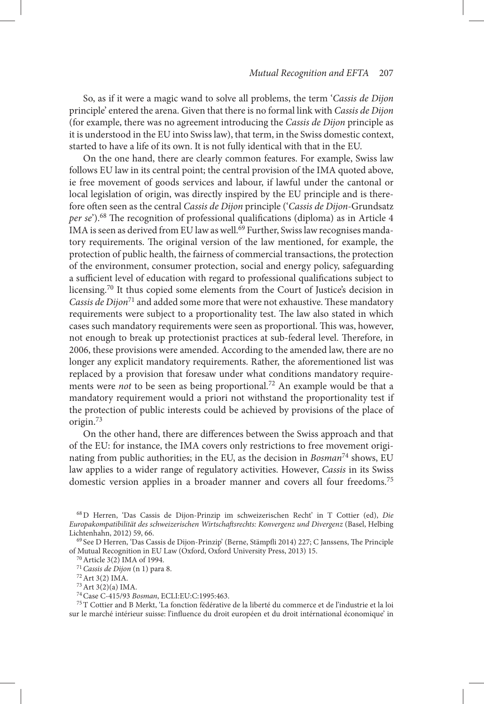So, as if it were a magic wand to solve all problems, the term 'Cassis de Dijon principle' entered the arena. Given that there is no formal link with *Cassis de Dijon* (for example, there was no agreement introducing the *Cassis de Dijon* principle as it is understood in the EU into Swiss law), that term, in the Swiss domestic context, started to have a life of its own. It is not fully identical with that in the EU.

 On the one hand, there are clearly common features. For example, Swiss law follows EU law in its central point; the central provision of the IMA quoted above, ie free movement of goods services and labour, if lawful under the cantonal or local legislation of origin, was directly inspired by the EU principle and is therefore oft en seen as the central *Cassis de Dijon* principle ( ' *Cassis de Dijon* -Grundsatz *per se*').<sup>68</sup> The recognition of professional qualifications (diploma) as in Article 4 IMA is seen as derived from EU law as well.<sup>69</sup> Further, Swiss law recognises mandatory requirements. The original version of the law mentioned, for example, the protection of public health, the fairness of commercial transactions, the protection of the environment, consumer protection, social and energy policy, safeguarding a sufficient level of education with regard to professional qualifications subject to licensing. 70 It thus copied some elements from the Court of Justice's decision in *Cassis de Dijon*<sup>71</sup> and added some more that were not exhaustive. These mandatory requirements were subject to a proportionality test. The law also stated in which cases such mandatory requirements were seen as proportional. This was, however, not enough to break up protectionist practices at sub-federal level. Therefore, in 2006, these provisions were amended. According to the amended law, there are no longer any explicit mandatory requirements. Rather, the aforementioned list was replaced by a provision that foresaw under what conditions mandatory requirements were *not* to be seen as being proportional.<sup>72</sup> An example would be that a mandatory requirement would a priori not withstand the proportionality test if the protection of public interests could be achieved by provisions of the place of origin. 73

On the other hand, there are differences between the Swiss approach and that of the EU: for instance, the IMA covers only restrictions to free movement originating from public authorities; in the EU, as the decision in *Bosman*74 shows, EU law applies to a wider range of regulatory activities. However, *Cassis* in its Swiss domestic version applies in a broader manner and covers all four freedoms.<sup>75</sup>

74 Case C-415/93 *Bosman* , ECLI:EU:C:1995:463 .

 $^{75}$ T Cottier and B Merkt, 'La fonction fédérative de la liberté du commerce et de l'industrie et la loi sur le marché intérieur suisse: l'influence du droit européen et du droit intérnational économique' in

68 D Herren , ' Das Cassis de Dijon-Prinzip im schweizerischen Recht ' in T Cottier (ed), *Die Europakompatibilit ä t des schweizerischen Wirtschaft srechts: Konvergenz und Divergenz* ( Basel , Helbing Lichtenhahn, 2012) 59, 66.

<sup>&</sup>lt;sup>69</sup> See D Herren, 'Das Cassis de Dijon-Prinzip' (Berne, Stämpfli 2014) 227; C Janssens, The Principle of Mutual Recognition in EU Law ( Oxford , Oxford University Press , 2013 ) 15.

70 Article 3(2) IMA of 1994.

<sup>&</sup>lt;sup>71</sup> Cassis de Dijon (n 1) para 8.

72 Art 3(2) IMA.

73 Art 3(2)(a) IMA.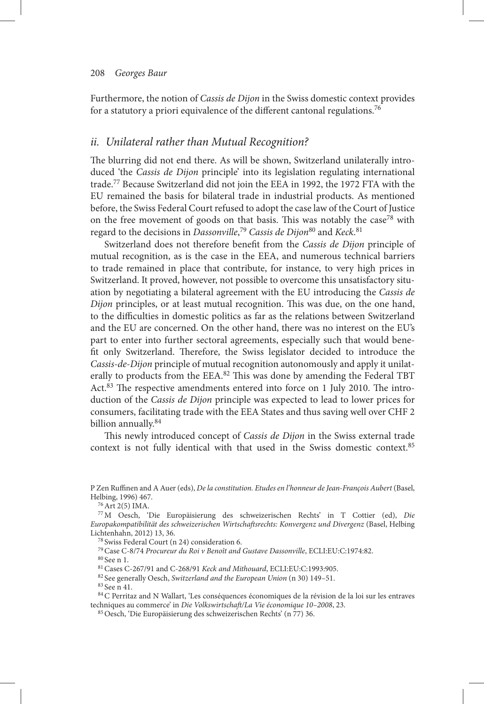Furthermore, the notion of *Cassis de Dijon* in the Swiss domestic context provides for a statutory a priori equivalence of the different cantonal regulations.<sup>76</sup>

## ii. Unilateral rather than Mutual Recognition?

The blurring did not end there. As will be shown, Switzerland unilaterally introduced 'the *Cassis de Dijon* principle' into its legislation regulating international trade. 77 Because Switzerland did not join the EEA in 1992, the 1972 FTA with the EU remained the basis for bilateral trade in industrial products. As mentioned before, the Swiss Federal Court refused to adopt the case law of the Court of Justice on the free movement of goods on that basis. This was notably the case<sup>78</sup> with regard to the decisions in *Dassonville*,<sup>79</sup> Cassis de Dijon<sup>80</sup> and Keck.<sup>81</sup>

Switzerland does not therefore benefit from the *Cassis de Dijon* principle of mutual recognition, as is the case in the EEA, and numerous technical barriers to trade remained in place that contribute, for instance, to very high prices in Switzerland. It proved, however, not possible to overcome this unsatisfactory situation by negotiating a bilateral agreement with the EU introducing the *Cassis de Dijon* principles, or at least mutual recognition. This was due, on the one hand, to the difficulties in domestic politics as far as the relations between Switzerland and the EU are concerned. On the other hand, there was no interest on the EU's part to enter into further sectoral agreements, especially such that would benefit only Switzerland. Therefore, the Swiss legislator decided to introduce the *Cassis-de-Dijon* principle of mutual recognition autonomously and apply it unilaterally to products from the EEA.<sup>82</sup> This was done by amending the Federal TBT Act.  $83$  The respective amendments entered into force on 1 July 2010. The introduction of the *Cassis de Dijon* principle was expected to lead to lower prices for consumers, facilitating trade with the EEA States and thus saving well over CHF 2 billion annually.<sup>84</sup>

This newly introduced concept of *Cassis de Dijon* in the Swiss external trade context is not fully identical with that used in the Swiss domestic context.<sup>85</sup>

76 Art 2(5) IMA.

<sup>79</sup> Case C-8/74 Procureur du Roi v Benoît and Gustave Dassonville, ECLI:EU:C:1974:82.  $80$  See n 1.

P Zen Ruffinen and A Auer (eds), *De la constitution. Etudes en l'honneur de Jean-Francois Aubert* (Basel, Helbing, 1996) 467.

<sup>&</sup>lt;sup>77</sup> M Oesch, 'Die Europäisierung des schweizerischen Rechts' in T Cottier (ed), Die *Europakompatibilit ä t des schweizerischen Wirtschaft srechts: Konvergenz und Divergenz* ( Basel , Helbing Lichtenhahn, 2012) 13, 36.

<sup>&</sup>lt;sup>78</sup> Swiss Federal Court (n 24) consideration 6.

<sup>&</sup>lt;sup>81</sup> Cases C-267/91 and C-268/91 *Keck and Mithouard*, ECLI:EU:C:1993:905.

<sup>&</sup>lt;sup>82</sup> See generally Oesch, *Switzerland and the European Union* (n 30) 149-51.

<sup>&</sup>lt;sup>83</sup> See n 41.

<sup>84</sup> C Perritaz and N Wallart, 'Les conséquences économiques de la révision de la loi sur les entraves techniques au commerce' in *Die Volkswirtschaft/La Vie économique 10-2008*, 23.

<sup>&</sup>lt;sup>85</sup> Oesch, 'Die Europäisierung des schweizerischen Rechts' (n 77) 36.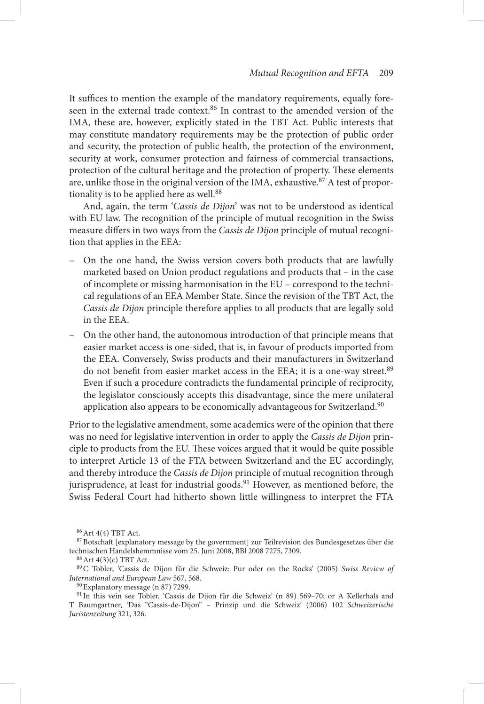It suffices to mention the example of the mandatory requirements, equally foreseen in the external trade context.<sup>86</sup> In contrast to the amended version of the IMA, these are, however, explicitly stated in the TBT Act. Public interests that may constitute mandatory requirements may be the protection of public order and security, the protection of public health, the protection of the environment, security at work, consumer protection and fairness of commercial transactions, protection of the cultural heritage and the protection of property. These elements are, unlike those in the original version of the IMA, exhaustive.<sup>87</sup> A test of proportionality is to be applied here as well.<sup>88</sup>

And, again, the term 'Cassis de Dijon' was not to be understood as identical with EU law. The recognition of the principle of mutual recognition in the Swiss measure differs in two ways from the *Cassis de Dijon* principle of mutual recognition that applies in the EEA:

- On the one hand, the Swiss version covers both products that are lawfully marketed based on Union product regulations and products that – in the case of incomplete or missing harmonisation in the EU – correspond to the technical regulations of an EEA Member State. Since the revision of the TBT Act, the *Cassis de Dijon* principle therefore applies to all products that are legally sold in the EEA.
- On the other hand, the autonomous introduction of that principle means that easier market access is one-sided, that is, in favour of products imported from the EEA. Conversely, Swiss products and their manufacturers in Switzerland do not benefit from easier market access in the EEA; it is a one-way street.<sup>89</sup> Even if such a procedure contradicts the fundamental principle of reciprocity, the legislator consciously accepts this disadvantage, since the mere unilateral application also appears to be economically advantageous for Switzerland.<sup>90</sup>

 Prior to the legislative amendment, some academics were of the opinion that there was no need for legislative intervention in order to apply the *Cassis de Dijon* principle to products from the EU. These voices argued that it would be quite possible to interpret Article 13 of the FTA between Switzerland and the EU accordingly, and thereby introduce the *Cassis de Dijon* principle of mutual recognition through jurisprudence, at least for industrial goods.<sup>91</sup> However, as mentioned before, the Swiss Federal Court had hitherto shown little willingness to interpret the FTA

86 Art 4(4) TBT Act.

<sup>87</sup> Botschaft [explanatory message by the government] zur Teilrevision des Bundesgesetzes über die technischen Handelshemmnisse vom 25. Juni 2008, BBl 2008 7275, 7309.

88 Art 4(3)(c) TBT Act.

<sup>&</sup>lt;sup>89</sup> C Tobler, 'Cassis de Dijon für die Schweiz: Pur oder on the Rocks' (2005) *Swiss Review of International and European Law* 567, 568 .

<sup>&</sup>lt;sup>90</sup> Explanatory message (n 87) 7299.

<sup>91</sup> In this vein see Tobler, 'Cassis de Dijon für die Schweiz' (n 89) 569-70; or A Kellerhals and T Baumgartner, 'Das "Cassis-de-Dijon" - Prinzip und die Schweiz' (2006) 102 Schweizerische *Juristenzeitung* 321, 326 .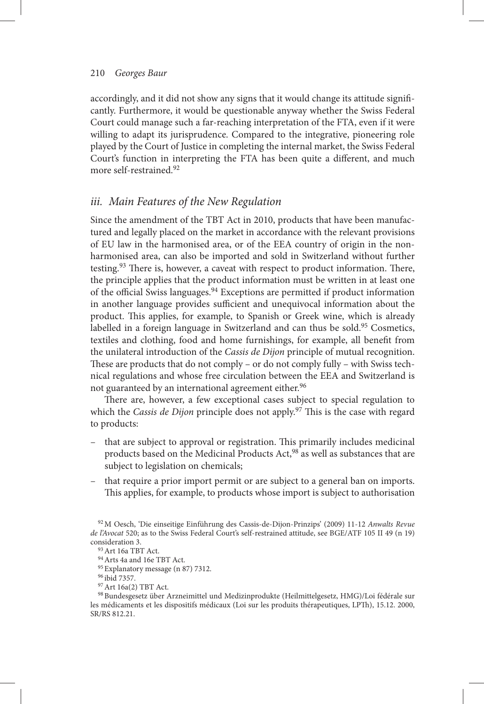accordingly, and it did not show any signs that it would change its attitude significantly. Furthermore, it would be questionable anyway whether the Swiss Federal Court could manage such a far-reaching interpretation of the FTA, even if it were willing to adapt its jurisprudence. Compared to the integrative, pioneering role played by the Court of Justice in completing the internal market, the Swiss Federal Court's function in interpreting the FTA has been quite a different, and much more self-restrained.<sup>92</sup>

## *iii. Main Features of the New Regulation*

 Since the amendment of the TBT Act in 2010, products that have been manufactured and legally placed on the market in accordance with the relevant provisions of EU law in the harmonised area, or of the EEA country of origin in the nonharmonised area, can also be imported and sold in Switzerland without further testing.<sup>93</sup> There is, however, a caveat with respect to product information. There, the principle applies that the product information must be written in at least one of the official Swiss languages.<sup>94</sup> Exceptions are permitted if product information in another language provides sufficient and unequivocal information about the product. This applies, for example, to Spanish or Greek wine, which is already labelled in a foreign language in Switzerland and can thus be sold.<sup>95</sup> Cosmetics, textiles and clothing, food and home furnishings, for example, all benefit from the unilateral introduction of the *Cassis de Dijon* principle of mutual recognition. These are products that do not comply – or do not comply fully – with Swiss technical regulations and whose free circulation between the EEA and Switzerland is not guaranteed by an international agreement either. 96

There are, however, a few exceptional cases subject to special regulation to which the *Cassis de Dijon* principle does not apply.<sup>97</sup> This is the case with regard to products:

- that are subject to approval or registration. This primarily includes medicinal products based on the Medicinal Products Act,<sup>98</sup> as well as substances that are subject to legislation on chemicals;
- that require a prior import permit or are subject to a general ban on imports. This applies, for example, to products whose import is subject to authorisation

98 Bundesgesetz über Arzneimittel und Medizinprodukte (Heilmittelgesetz, HMG)/Loi fédérale sur les médicaments et les dispositifs médicaux (Loi sur les produits thérapeutiques, LPTh), 15.12. 2000, SR/RS 812.21.

<sup>&</sup>lt;sup>92</sup> M Oesch, 'Die einseitige Einführung des Cassis-de-Dijon-Prinzips' (2009) 11-12 *Anwalts Revue de l'Avocat* 520; as to the Swiss Federal Court's self-restrained attitude, see BGE/ATF 105 II 49 (n 19) consideration 3.

93 Art 16a TBT Act.

94 Arts 4a and 16e TBT Act.

<sup>&</sup>lt;sup>95</sup> Explanatory message (n 87) 7312.

96 ibid 7357.

97 Art 16a(2) TBT Act.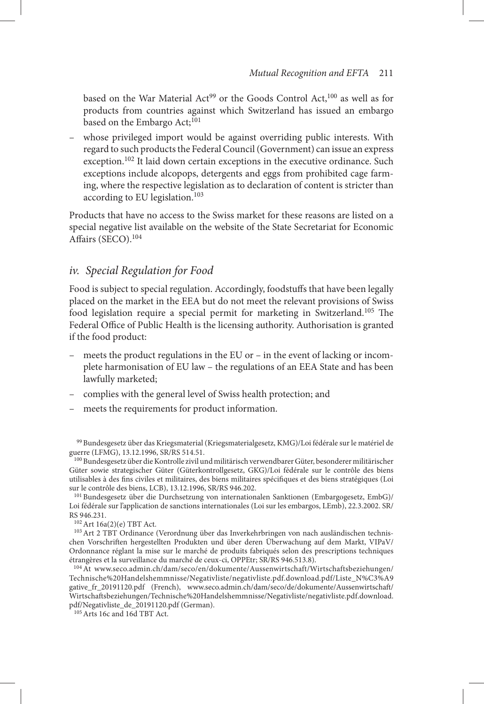based on the War Material Act<sup>99</sup> or the Goods Control Act,  $100$  as well as for products from countries against which Switzerland has issued an embargo based on the Embargo Act;<sup>101</sup>

– whose privileged import would be against overriding public interests. With regard to such products the Federal Council (Government) can issue an express exception.<sup>102</sup> It laid down certain exceptions in the executive ordinance. Such exceptions include alcopops, detergents and eggs from prohibited cage farming, where the respective legislation as to declaration of content is stricter than according to EU legislation. 103

 Products that have no access to the Swiss market for these reasons are listed on a special negative list available on the website of the State Secretariat for Economic Affairs  $(SECO)$ .  $104$ 

### *iv. Special Regulation for Food*

Food is subject to special regulation. Accordingly, foodstuffs that have been legally placed on the market in the EEA but do not meet the relevant provisions of Swiss food legislation require a special permit for marketing in Switzerland.<sup>105</sup> The Federal Office of Public Health is the licensing authority. Authorisation is granted if the food product:

- meets the product regulations in the EU or in the event of lacking or incomplete harmonisation of EU law – the regulations of an EEA State and has been lawfully marketed;
- complies with the general level of Swiss health protection; and
- meets the requirements for product information.

99 Bundesgesetz über das Kriegsmaterial (Kriegsmaterialgesetz, KMG)/Loi fédérale sur le matériel de guerre (LFMG), 13.12.1996, SR/RS 514.51.

100 Bundesgesetz über die Kontrolle zivil und militärisch verwendbarer Güter, besonderer militärischer Güter sowie strategischer Güter (Güterkontrollgesetz, GKG)/Loi fédérale sur le contrôle des biens utilisables à des fins civiles et militaires, des biens militaires spécifiques et des biens stratégiques (Loi sur le contrôle des biens, LCB), 13.12.1996, SR/RS 946.202.

101 Bundesgesetz über die Durchsetzung von internationalen Sanktionen (Embargogesetz, EmbG)/ Loi fédérale sur l'application de sanctions internationales (Loi sur les embargos, LEmb), 22.3.2002. SR/ RS 946.231.

102 Art 16a(2)(e) TBT Act.

<sup>103</sup> Art 2 TBT Ordinance (Verordnung über das Inverkehrbringen von nach ausländischen technischen Vorschriften hergestellten Produkten und über deren Überwachung auf dem Markt, VIPaV/ Ordonnance réglant la mise sur le marché de produits fabriqués selon des prescriptions techniques étrangères et la surveillance du marché de ceux-ci, OPPEtr; SR/RS 946.513.8).

 104 At www.seco.admin.ch/dam/seco/en/dokumente/Aussenwirtschaft/Wirtschaftsbeziehungen/ Technische%20Handelshemmnisse/Negativliste/negativliste.pdf.download.pdf/Liste\_N%C3%A9 gative\_fr\_20191120.pdf (French), www.seco.admin.ch/dam/seco/de/dokumente/Aussenwirtschaft/ Wirtschaft sbeziehungen/Technische%20Handelshemmnisse/Negativliste/negativliste.pdf.download. pdf/Negativliste\_de\_20191120.pdf (German).

105 Arts 16c and 16d TBT Act.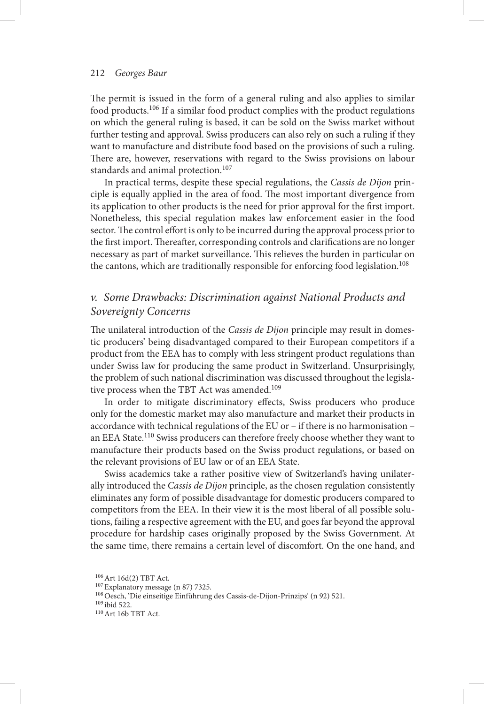#### 212 *Georges Baur*

The permit is issued in the form of a general ruling and also applies to similar food products. 106 If a similar food product complies with the product regulations on which the general ruling is based, it can be sold on the Swiss market without further testing and approval. Swiss producers can also rely on such a ruling if they want to manufacture and distribute food based on the provisions of such a ruling. There are, however, reservations with regard to the Swiss provisions on labour standards and animal protection.<sup>107</sup>

 In practical terms, despite these special regulations, the *Cassis de Dijon* principle is equally applied in the area of food. The most important divergence from its application to other products is the need for prior approval for the first import. Nonetheless, this special regulation makes law enforcement easier in the food sector. The control effort is only to be incurred during the approval process prior to the first import. Thereafter, corresponding controls and clarifications are no longer necessary as part of market surveillance. This relieves the burden in particular on the cantons, which are traditionally responsible for enforcing food legislation. 108

## *v. Some Drawbacks: Discrimination against National Products and Sovereignty Concerns*

The unilateral introduction of the *Cassis de Dijon* principle may result in domestic producers' being disadvantaged compared to their European competitors if a product from the EEA has to comply with less stringent product regulations than under Swiss law for producing the same product in Switzerland. Unsurprisingly, the problem of such national discrimination was discussed throughout the legislative process when the TBT Act was amended.<sup>109</sup>

In order to mitigate discriminatory effects, Swiss producers who produce only for the domestic market may also manufacture and market their products in accordance with technical regulations of the EU or – if there is no harmonisation – an EEA State.<sup>110</sup> Swiss producers can therefore freely choose whether they want to manufacture their products based on the Swiss product regulations, or based on the relevant provisions of EU law or of an EEA State.

Swiss academics take a rather positive view of Switzerland's having unilaterally introduced the *Cassis de Dijon* principle, as the chosen regulation consistently eliminates any form of possible disadvantage for domestic producers compared to competitors from the EEA. In their view it is the most liberal of all possible solutions, failing a respective agreement with the EU, and goes far beyond the approval procedure for hardship cases originally proposed by the Swiss Government. At the same time, there remains a certain level of discomfort. On the one hand, and

106 Art 16d(2) TBT Act.

 $^{107}$  Explanatory message (n 87) 7325.

<sup>&</sup>lt;sup>108</sup> Oesch, 'Die einseitige Einführung des Cassis-de-Dijon-Prinzips' (n 92) 521.

109 ibid 522.

110 Art 16b TBT Act.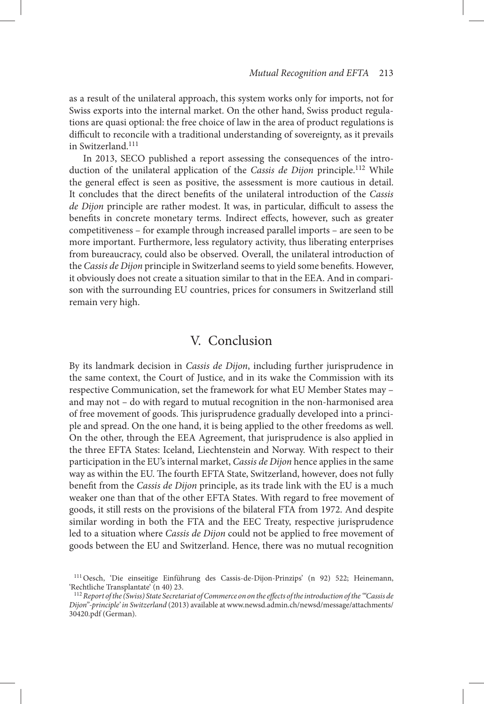as a result of the unilateral approach, this system works only for imports, not for Swiss exports into the internal market. On the other hand, Swiss product regulations are quasi optional: the free choice of law in the area of product regulations is difficult to reconcile with a traditional understanding of sovereignty, as it prevails in Switzerland. 111

 In 2013, SECO published a report assessing the consequences of the introduction of the unilateral application of the *Cassis de Dijon* principle. 112 While the general effect is seen as positive, the assessment is more cautious in detail. It concludes that the direct benefits of the unilateral introduction of the *Cassis de Dijon* principle are rather modest. It was, in particular, difficult to assess the benefits in concrete monetary terms. Indirect effects, however, such as greater competitiveness – for example through increased parallel imports – are seen to be more important. Furthermore, less regulatory activity, thus liberating enterprises from bureaucracy, could also be observed. Overall, the unilateral introduction of the *Cassis de Dijon* principle in Switzerland seems to yield some benefits. However, it obviously does not create a situation similar to that in the EEA. And in comparison with the surrounding EU countries, prices for consumers in Switzerland still remain very high.

## V. Conclusion

By its landmark decision in *Cassis de Dijon*, including further jurisprudence in the same context, the Court of Justice, and in its wake the Commission with its respective Communication, set the framework for what EU Member States may – and may not – do with regard to mutual recognition in the non-harmonised area of free movement of goods. This jurisprudence gradually developed into a principle and spread. On the one hand, it is being applied to the other freedoms as well. On the other, through the EEA Agreement, that jurisprudence is also applied in the three EFTA States: Iceland, Liechtenstein and Norway. With respect to their participation in the EU's internal market, *Cassis de Dijon* hence applies in the same way as within the EU. The fourth EFTA State, Switzerland, however, does not fully benefit from the *Cassis de Dijon* principle, as its trade link with the EU is a much weaker one than that of the other EFTA States. With regard to free movement of goods, it still rests on the provisions of the bilateral FTA from 1972. And despite similar wording in both the FTA and the EEC Treaty, respective jurisprudence led to a situation where *Cassis de Dijon* could not be applied to free movement of goods between the EU and Switzerland. Hence, there was no mutual recognition

<sup>&</sup>lt;sup>111</sup> Oesch, 'Die einseitige Einführung des Cassis-de-Dijon-Prinzips' (n 92) 522; Heinemann, 'Rechtliche Transplantate' (n 40) 23.

<sup>&</sup>lt;sup>112</sup> Report of the (Swiss) State Secretariat of Commerce on on the effects of the introduction of the "Cassis de *Dijon " -principle ' in Switzerland* (2013) available at www.newsd.admin.ch/newsd/message/attachments/ 30420.pdf (German).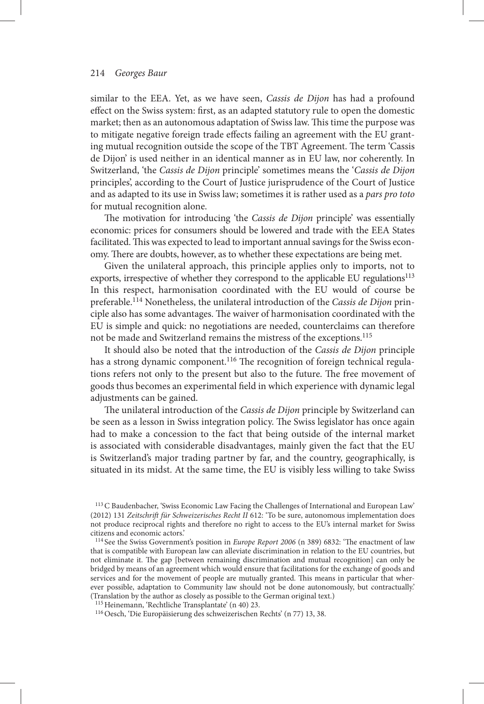#### 214 *Georges Baur*

similar to the EEA. Yet, as we have seen, *Cassis de Dijon* has had a profound effect on the Swiss system: first, as an adapted statutory rule to open the domestic market; then as an autonomous adaptation of Swiss law. This time the purpose was to mitigate negative foreign trade effects failing an agreement with the EU granting mutual recognition outside the scope of the TBT Agreement. The term 'Cassis de Dijon' is used neither in an identical manner as in EU law, nor coherently. In Switzerland, ' the *Cassis de Dijon* principle ' sometimes means the ' *Cassis de Dijon* principles', according to the Court of Justice jurisprudence of the Court of Justice and as adapted to its use in Swiss law; sometimes it is rather used as a *pars pro toto* for mutual recognition alone.

The motivation for introducing 'the *Cassis de Dijon* principle' was essentially economic: prices for consumers should be lowered and trade with the EEA States facilitated. This was expected to lead to important annual savings for the Swiss economy. There are doubts, however, as to whether these expectations are being met.

 Given the unilateral approach, this principle applies only to imports, not to exports, irrespective of whether they correspond to the applicable EU regulations<sup>113</sup> In this respect, harmonisation coordinated with the EU would of course be preferable. 114 Nonetheless, the unilateral introduction of the *Cassis de Dijon* principle also has some advantages. The waiver of harmonisation coordinated with the EU is simple and quick: no negotiations are needed, counterclaims can therefore not be made and Switzerland remains the mistress of the exceptions. 115

 It should also be noted that the introduction of the *Cassis de Dijon* principle has a strong dynamic component.<sup>116</sup> The recognition of foreign technical regulations refers not only to the present but also to the future. The free movement of goods thus becomes an experimental field in which experience with dynamic legal adjustments can be gained.

The unilateral introduction of the *Cassis de Dijon* principle by Switzerland can be seen as a lesson in Swiss integration policy. The Swiss legislator has once again had to make a concession to the fact that being outside of the internal market is associated with considerable disadvantages, mainly given the fact that the EU is Switzerland's major trading partner by far, and the country, geographically, is situated in its midst. At the same time, the EU is visibly less willing to take Swiss

<sup>&</sup>lt;sup>113</sup> C Baudenbacher, 'Swiss Economic Law Facing the Challenges of International and European Law' (2012) 131 *Zeitschrift für Schweizerisches Recht II* 612: 'To be sure, autonomous implementation does not produce reciprocal rights and therefore no right to access to the EU's internal market for Swiss citizens and economic actors. '

<sup>&</sup>lt;sup>114</sup> See the Swiss Government's position in *Europe Report 2006* (n 389) 6832: 'The enactment of law that is compatible with European law can alleviate discrimination in relation to the EU countries, but not eliminate it. The gap [between remaining discrimination and mutual recognition] can only be bridged by means of an agreement which would ensure that facilitations for the exchange of goods and services and for the movement of people are mutually granted. This means in particular that wherever possible, adaptation to Community law should not be done autonomously, but contractually. ' (Translation by the author as closely as possible to the German original text.)

<sup>&</sup>lt;sup>115</sup> Heinemann, 'Rechtliche Transplantate' (n 40) 23.

 $^{116}$  Oesch, 'Die Europäisierung des schweizerischen Rechts' (n 77) 13, 38.